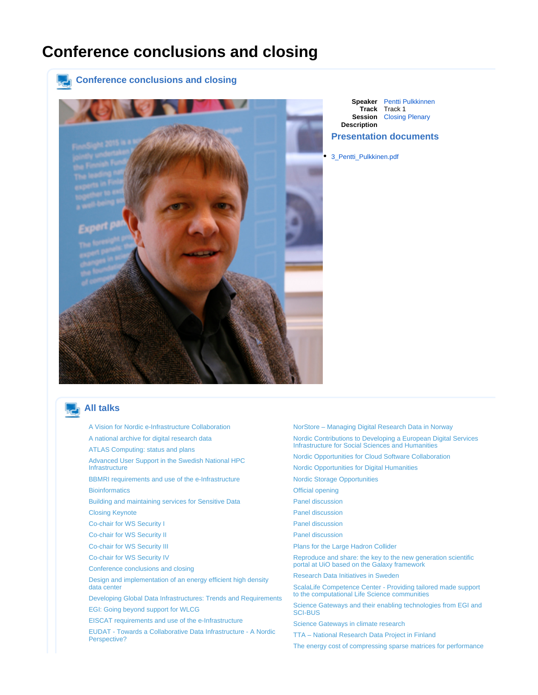## <span id="page-0-0"></span>**Conference conclusions and closing**



**Speaker** [Pentti Pulkkinnen](https://events.nordu.net/display/NEIC13/Pentti+Pulkkinnen) **Track** Track 1 **Session** [Closing Plenary](https://events.nordu.net/display/NEIC13/Closing+Plenary) **Description**

## **Presentation documents**

[3\\_Pentti\\_Pulkkinen.pdf](https://events.nordu.net/plugins/servlet/conference-attachment/talks/121/237)

## **All talks**

- [A Vision for Nordic e-Infrastructure Collaboration](https://events.nordu.net/display/NEIC13/A+Vision+for+Nordic+e-Infrastructure+Collaboration) [A national archive for digital research data](https://events.nordu.net/display/NEIC13/A+national+archive+for+digital+research+data) [ATLAS Computing: status and plans](https://events.nordu.net/display/NEIC13/ATLAS+Computing%3A+status+and+plans+-+2) [Advanced User Support in the Swedish National HPC](https://events.nordu.net/display/NEIC13/Advanced+User+Support+in+the+Swedish+National+HPC+Infrastructure)  [Infrastructure](https://events.nordu.net/display/NEIC13/Advanced+User+Support+in+the+Swedish+National+HPC+Infrastructure) [BBMRI requirements and use of the e-Infrastructure](https://events.nordu.net/display/NEIC13/BBMRI+requirements+and+use+of+the+e-Infrastructure) **[Bioinformatics](https://events.nordu.net/pages/viewpage.action?pageId=3604669)** [Building and maintaining services for Sensitive Data](https://events.nordu.net/display/NEIC13/Building+and+maintaining+services+for+Sensitive+Data) [Closing Keynote](https://events.nordu.net/display/NEIC13/Closing+Keynote) [Co-chair for WS Security I](https://events.nordu.net/display/NEIC13/Co-chair+for++WS+Security+I) [Co-chair for WS Security II](https://events.nordu.net/display/NEIC13/Co-chair+for++WS+Security+II) [Co-chair for WS Security III](https://events.nordu.net/display/NEIC13/Co-chair+for++WS+Security+III) [Co-chair for WS Security IV](https://events.nordu.net/display/NEIC13/Co-chair+for++WS+Security+IV) [Conference conclusions and closing](#page-0-0) [Design and implementation of an energy efficient high density](https://events.nordu.net/display/NEIC13/Design+and+implementation+of+an+energy+efficient+high+density+data+center)  [data center](https://events.nordu.net/display/NEIC13/Design+and+implementation+of+an+energy+efficient+high+density+data+center) [Developing Global Data Infrastructures: Trends and Requirements](https://events.nordu.net/display/NEIC13/Developing+Global+Data+Infrastructures%3A+Trends+and+Requirements) [EGI: Going beyond support for WLCG](https://events.nordu.net/display/NEIC13/EGI%3A+Going+beyond+support+for+WLCG) [EISCAT requirements and use of the e-Infrastructure](https://events.nordu.net/display/NEIC13/EISCAT+requirements+and+use+of+the+e-Infrastructure) [EUDAT - Towards a Collaborative Data Infrastructure - A Nordic](https://events.nordu.net/pages/viewpage.action?pageId=3604692)  [Perspective?](https://events.nordu.net/pages/viewpage.action?pageId=3604692)
- [NorStore Managing Digital Research Data in Norway](https://events.nordu.net/pages/viewpage.action?pageId=5111878) [Nordic Contributions to Developing a European Digital Services](https://events.nordu.net/display/NEIC13/Nordic+Contributions+to+Developing+a+European+Digital+Services+Infrastructure+for+Social+Sciences+and+Humanities)  [Infrastructure for Social Sciences and Humanities](https://events.nordu.net/display/NEIC13/Nordic+Contributions+to+Developing+a+European+Digital+Services+Infrastructure+for+Social+Sciences+and+Humanities) [Nordic Opportunities for Cloud Software Collaboration](https://events.nordu.net/display/NEIC13/Nordic+Opportunities+for+Cloud+Software+Collaboration) [Nordic Opportunities for Digital Humanities](https://events.nordu.net/display/NEIC13/Nordic+Opportunities+for+Digital+Humanities) [Nordic Storage Opportunities](https://events.nordu.net/display/NEIC13/Nordic+Storage+Opportunities) [Official opening](https://events.nordu.net/display/NEIC13/Official+opening) [Panel discussion](https://events.nordu.net/display/NEIC13/Panel+discussion) [Panel discussion](https://events.nordu.net/pages/viewpage.action?pageId=3604690) [Panel discussion](https://events.nordu.net/display/NEIC13/Panel+discussion+-+2) [Panel discussion](https://events.nordu.net/display/NEIC13/Panel+discussion+-+3) [Plans for the Large Hadron Collider](https://events.nordu.net/display/NEIC13/Plans+for+the+Large+Hadron+Collider) [Reproduce and share: the key to the new generation scientific](https://events.nordu.net/display/NEIC13/Reproduce+and+share%3A+the+key+to+the+new+generation+scientific+portal+at+UiO+based+on+the+Galaxy+framework)  [portal at UiO based on the Galaxy framework](https://events.nordu.net/display/NEIC13/Reproduce+and+share%3A+the+key+to+the+new+generation+scientific+portal+at+UiO+based+on+the+Galaxy+framework) [Research Data Initiatives in Sweden](https://events.nordu.net/display/NEIC13/Research+Data+Initiatives+in+Sweden) [ScalaLife Competence Center - Providing tailored made support](https://events.nordu.net/display/NEIC13/ScalaLife+Competence+Center+-+Providing+tailored+made+support+to+the+computational+Life+Science+communities)  [to the computational Life Science communities](https://events.nordu.net/display/NEIC13/ScalaLife+Competence+Center+-+Providing+tailored+made+support+to+the+computational+Life+Science+communities) [Science Gateways and their enabling technologies from EGI and](https://events.nordu.net/display/NEIC13/Science+Gateways+and+their+enabling+technologies+from+EGI+and+SCI-BUS+)  [SCI-BUS](https://events.nordu.net/display/NEIC13/Science+Gateways+and+their+enabling+technologies+from+EGI+and+SCI-BUS+) [Science Gateways in climate research](https://events.nordu.net/display/NEIC13/Science+Gateways+in+climate+research) [TTA – National Research Data Project in Finland](https://events.nordu.net/pages/viewpage.action?pageId=5111876) [The energy cost of compressing sparse matrices for performance](https://events.nordu.net/display/NEIC13/The+energy+cost+of+compressing+sparse+matrices+for+performance)